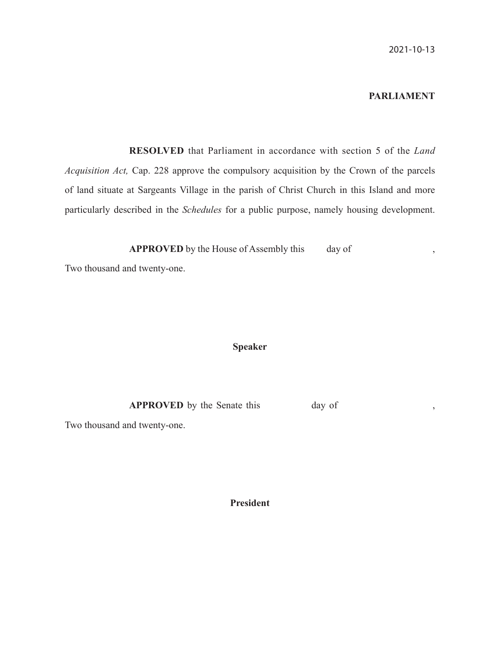# **PARLIAMENT**

 **RESOLVED** that Parliament in accordance with section 5 of the *Land Acquisition Act,* Cap. 228 approve the compulsory acquisition by the Crown of the parcels of land situate at Sargeants Village in the parish of Christ Church in this Island and more particularly described in the *Schedules* for a public purpose, namely housing development.

**APPROVED** by the House of Assembly this day of ,

Two thousand and twenty-one.

## **Speaker**

**APPROVED** by the Senate this day of ,

Two thousand and twenty-one.

**President**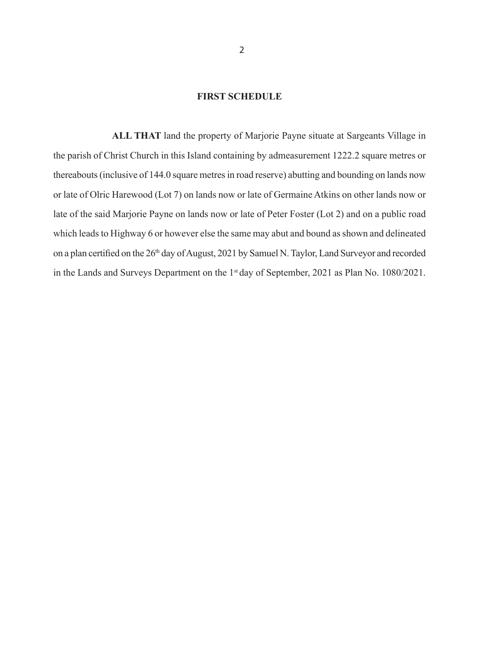## **FIRST SCHEDULE**

 **ALL THAT** land the property of Marjorie Payne situate at Sargeants Village in the parish of Christ Church in this Island containing by admeasurement 1222.2 square metres or thereabouts (inclusive of 144.0 square metres in road reserve) abutting and bounding on lands now or late of Olric Harewood (Lot 7) on lands now or late of Germaine Atkins on other lands now or late of the said Marjorie Payne on lands now or late of Peter Foster (Lot 2) and on a public road which leads to Highway 6 or however else the same may abut and bound as shown and delineated on a plan certified on the 26<sup>th</sup> day of August, 2021 by Samuel N. Taylor, Land Surveyor and recorded in the Lands and Surveys Department on the 1<sup>st</sup> day of September, 2021 as Plan No. 1080/2021.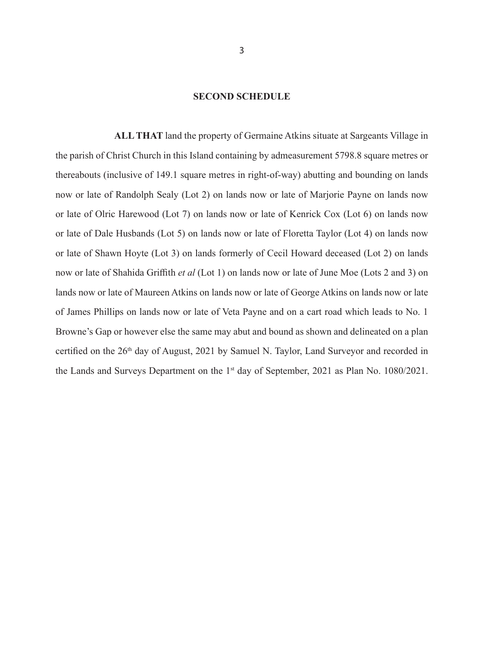#### **SECOND SCHEDULE**

 **ALL THAT** land the property of Germaine Atkins situate at Sargeants Village in the parish of Christ Church in this Island containing by admeasurement 5798.8 square metres or thereabouts (inclusive of 149.1 square metres in right-of-way) abutting and bounding on lands now or late of Randolph Sealy (Lot 2) on lands now or late of Marjorie Payne on lands now or late of Olric Harewood (Lot 7) on lands now or late of Kenrick Cox (Lot 6) on lands now or late of Dale Husbands (Lot 5) on lands now or late of Floretta Taylor (Lot 4) on lands now or late of Shawn Hoyte (Lot 3) on lands formerly of Cecil Howard deceased (Lot 2) on lands now or late of Shahida Griffith *et al* (Lot 1) on lands now or late of June Moe (Lots 2 and 3) on lands now or late of Maureen Atkins on lands now or late of George Atkins on lands now or late of James Phillips on lands now or late of Veta Payne and on a cart road which leads to No. 1 Browne's Gap or however else the same may abut and bound as shown and delineated on a plan certified on the 26<sup>th</sup> day of August, 2021 by Samuel N. Taylor, Land Surveyor and recorded in the Lands and Surveys Department on the 1<sup>st</sup> day of September, 2021 as Plan No. 1080/2021.